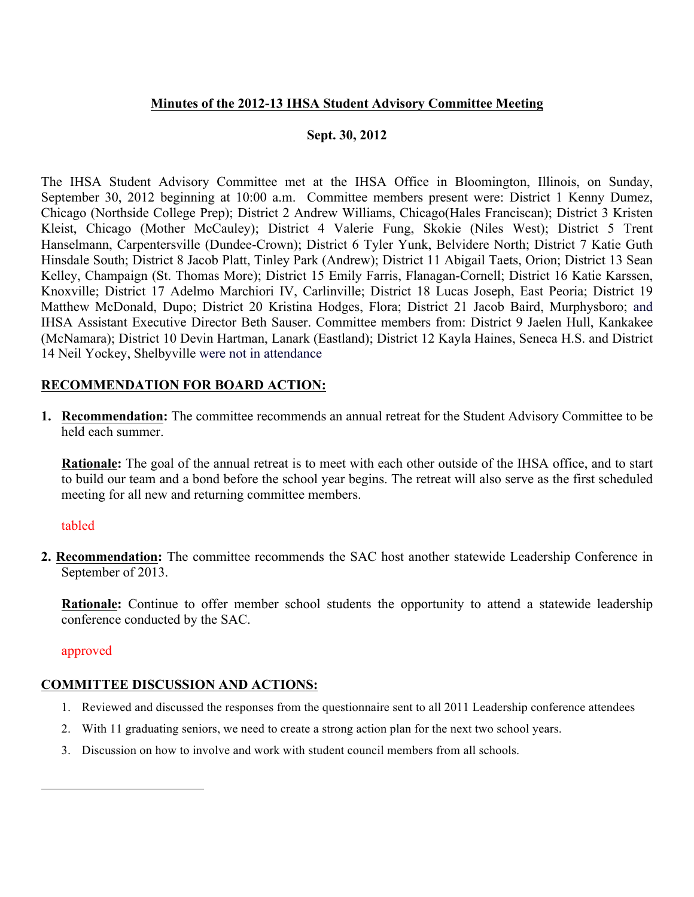## **Minutes of the 2012-13 IHSA Student Advisory Committee Meeting**

## **Sept. 30, 2012**

The IHSA Student Advisory Committee met at the IHSA Office in Bloomington, Illinois, on Sunday, September 30, 2012 beginning at 10:00 a.m. Committee members present were: District 1 Kenny Dumez, Chicago (Northside College Prep); District 2 Andrew Williams, Chicago(Hales Franciscan); District 3 Kristen Kleist, Chicago (Mother McCauley); District 4 Valerie Fung, Skokie (Niles West); District 5 Trent Hanselmann, Carpentersville (Dundee-Crown); District 6 Tyler Yunk, Belvidere North; District 7 Katie Guth Hinsdale South; District 8 Jacob Platt, Tinley Park (Andrew); District 11 Abigail Taets, Orion; District 13 Sean Kelley, Champaign (St. Thomas More); District 15 Emily Farris, Flanagan-Cornell; District 16 Katie Karssen, Knoxville; District 17 Adelmo Marchiori IV, Carlinville; District 18 Lucas Joseph, East Peoria; District 19 Matthew McDonald, Dupo; District 20 Kristina Hodges, Flora; District 21 Jacob Baird, Murphysboro; and IHSA Assistant Executive Director Beth Sauser. Committee members from: District 9 Jaelen Hull, Kankakee (McNamara); District 10 Devin Hartman, Lanark (Eastland); District 12 Kayla Haines, Seneca H.S. and District 14 Neil Yockey, Shelbyville were not in attendance

## **RECOMMENDATION FOR BOARD ACTION:**

**1. Recommendation:** The committee recommends an annual retreat for the Student Advisory Committee to be held each summer.

**Rationale:** The goal of the annual retreat is to meet with each other outside of the IHSA office, and to start to build our team and a bond before the school year begins. The retreat will also serve as the first scheduled meeting for all new and returning committee members.

### tabled

**2. Recommendation:** The committee recommends the SAC host another statewide Leadership Conference in September of 2013.

**Rationale:** Continue to offer member school students the opportunity to attend a statewide leadership conference conducted by the SAC.

#### approved

### **COMMITTEE DISCUSSION AND ACTIONS:**

- 1. Reviewed and discussed the responses from the questionnaire sent to all 2011 Leadership conference attendees
- 2. With 11 graduating seniors, we need to create a strong action plan for the next two school years.
- 3. Discussion on how to involve and work with student council members from all schools.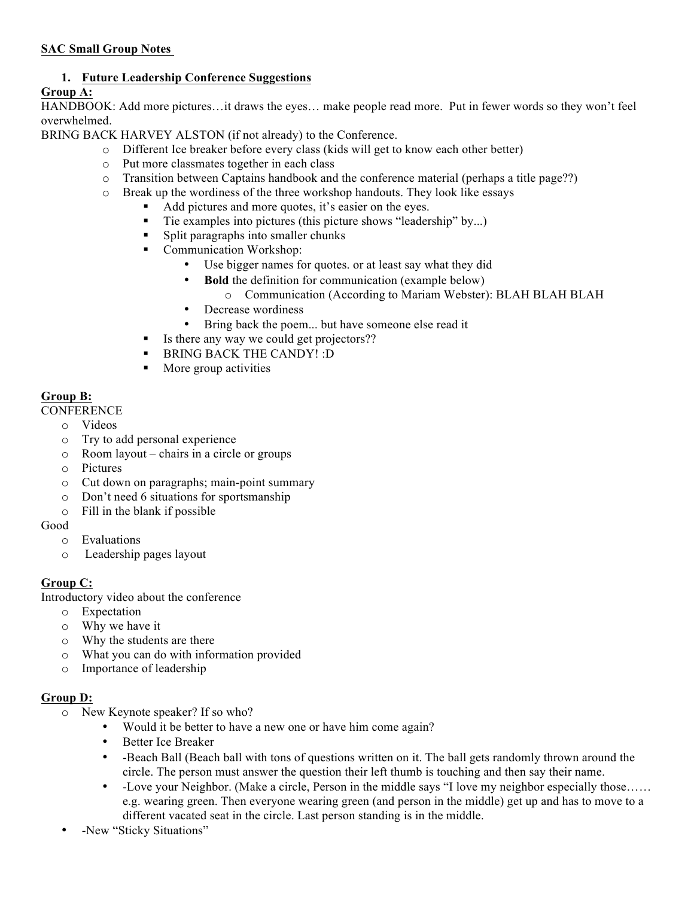### **SAC Small Group Notes**

# **1. Future Leadership Conference Suggestions**

# **Group A:**

HANDBOOK: Add more pictures…it draws the eyes… make people read more. Put in fewer words so they won't feel overwhelmed.

BRING BACK HARVEY ALSTON (if not already) to the Conference.

- o Different Ice breaker before every class (kids will get to know each other better)
- o Put more classmates together in each class
- o Transition between Captains handbook and the conference material (perhaps a title page??)
- o Break up the wordiness of the three workshop handouts. They look like essays
	- Add pictures and more quotes, it's easier on the eyes.
	- ! Tie examples into pictures (this picture shows "leadership" by...)
	- ! Split paragraphs into smaller chunks
	- **•** Communication Workshop:
		- Use bigger names for quotes, or at least say what they did
		- **Bold** the definition for communication (example below)
			- o Communication (According to Mariam Webster): BLAH BLAH BLAH
		- Decrease wordiness
		- Bring back the poem... but have someone else read it
	- ! Is there any way we could get projectors??
	- ! BRING BACK THE CANDY! :D
	- **IDED** More group activities

## **Group B:**

**CONFERENCE** 

- o Videos
- o Try to add personal experience
- o Room layout chairs in a circle or groups
- o Pictures
- o Cut down on paragraphs; main-point summary
- o Don't need 6 situations for sportsmanship
- o Fill in the blank if possible

Good

- o Evaluations
- o Leadership pages layout

# **Group C:**

Introductory video about the conference

- o Expectation
- o Why we have it
- o Why the students are there
- o What you can do with information provided
- o Importance of leadership

# **Group D:**

- o New Keynote speaker? If so who?
	- Would it be better to have a new one or have him come again?
	- Better Ice Breaker
	- -Beach Ball (Beach ball with tons of questions written on it. The ball gets randomly thrown around the circle. The person must answer the question their left thumb is touching and then say their name.
	- -Love your Neighbor. (Make a circle, Person in the middle says "I love my neighbor especially those…… e.g. wearing green. Then everyone wearing green (and person in the middle) get up and has to move to a different vacated seat in the circle. Last person standing is in the middle.
- -New "Sticky Situations"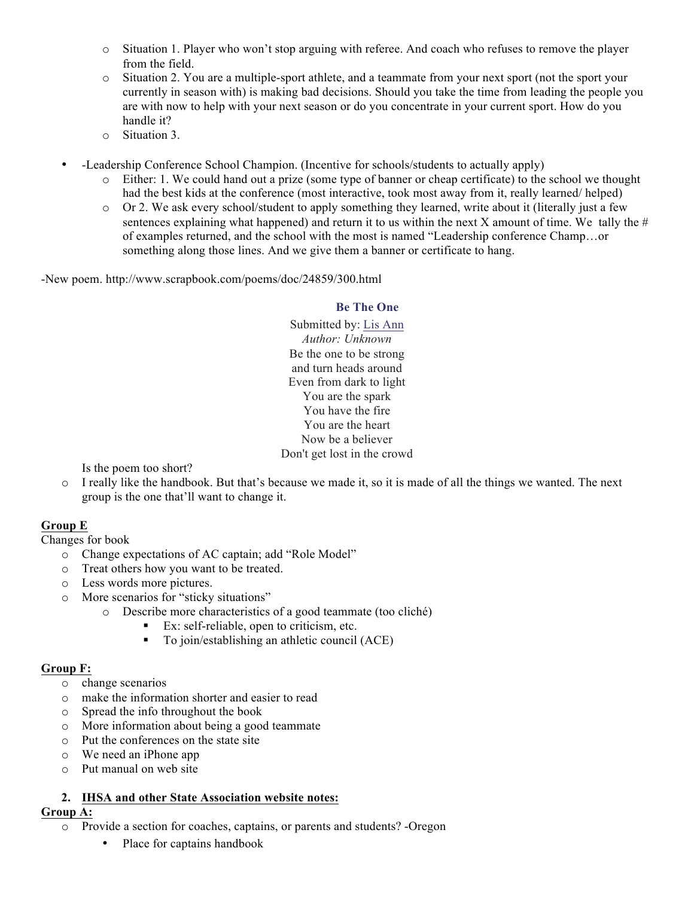- o Situation 1. Player who won't stop arguing with referee. And coach who refuses to remove the player from the field.
- o Situation 2. You are a multiple-sport athlete, and a teammate from your next sport (not the sport your currently in season with) is making bad decisions. Should you take the time from leading the people you are with now to help with your next season or do you concentrate in your current sport. How do you handle it?
- o Situation 3.
- -Leadership Conference School Champion. (Incentive for schools/students to actually apply)
	- o Either: 1. We could hand out a prize (some type of banner or cheap certificate) to the school we thought had the best kids at the conference (most interactive, took most away from it, really learned/ helped)
	- $\circ$  Or 2. We ask every school/student to apply something they learned, write about it (literally just a few sentences explaining what happened) and return it to us within the next X amount of time. We tally the  $#$ of examples returned, and the school with the most is named "Leadership conference Champ…or something along those lines. And we give them a banner or certificate to hang.

-New poem. http://www.scrapbook.com/poems/doc/24859/300.html

### **Be The One**

Submitted by: Lis Ann *Author: Unknown* Be the one to be strong and turn heads around Even from dark to light You are the spark You have the fire You are the heart Now be a believer Don't get lost in the crowd

Is the poem too short?

o I really like the handbook. But that's because we made it, so it is made of all the things we wanted. The next group is the one that'll want to change it.

# **Group E**

Changes for book

- o Change expectations of AC captain; add "Role Model"
- o Treat others how you want to be treated.
- o Less words more pictures.
- o More scenarios for "sticky situations"
	- o Describe more characteristics of a good teammate (too cliché)
		- ! Ex: self-reliable, open to criticism, etc.
		- ! To join/establishing an athletic council (ACE)

### **Group F:**

- o change scenarios
- o make the information shorter and easier to read
- o Spread the info throughout the book
- o More information about being a good teammate
- o Put the conferences on the state site
- o We need an iPhone app
- o Put manual on web site

### **2. IHSA and other State Association website notes:**

#### **Group A:**

- o Provide a section for coaches, captains, or parents and students? -Oregon
	- Place for captains handbook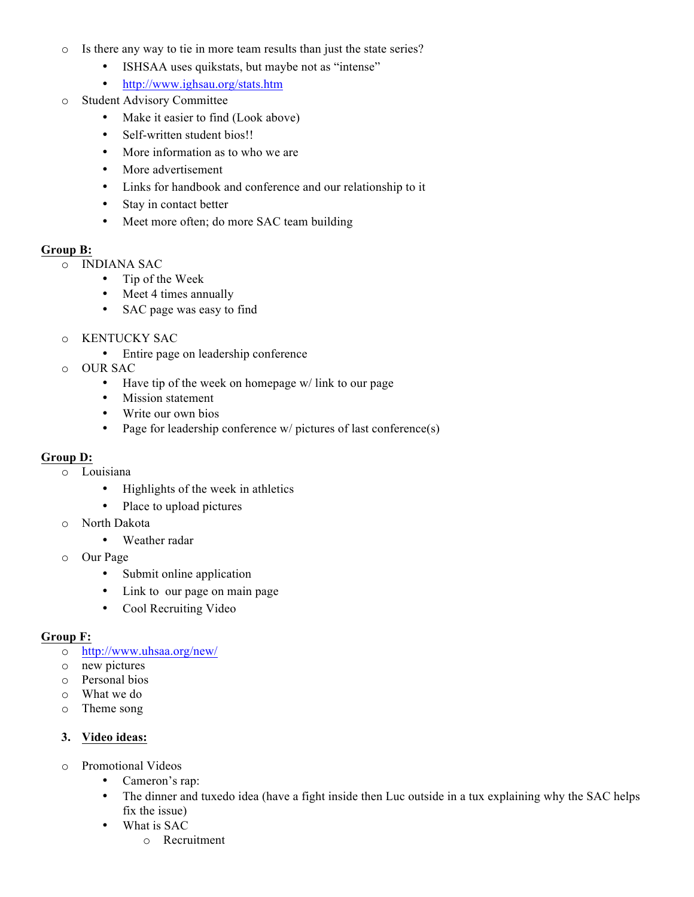- o Is there any way to tie in more team results than just the state series?
	- ISHSAA uses quikstats, but maybe not as "intense"
	- http://www.ighsau.org/stats.htm
- o Student Advisory Committee
	- Make it easier to find (Look above)
	- Self-written student bios!!
	- More information as to who we are
	- More advertisement
	- Links for handbook and conference and our relationship to it
	- Stay in contact better
	- Meet more often; do more SAC team building

#### **Group B:**

- o INDIANA SAC
	- Tip of the Week
	- Meet 4 times annually
	- SAC page was easy to find
- o KENTUCKY SAC
	- Entire page on leadership conference
- o OUR SAC
	- Have tip of the week on homepage w/ link to our page
	- Mission statement
	- Write our own bios
	- Page for leadership conference w/ pictures of last conference(s)

### **Group D:**

- o Louisiana
	- Highlights of the week in athletics
	- Place to upload pictures
- o North Dakota
	- Weather radar
- o Our Page
	- Submit online application
	- Link to our page on main page
	- Cool Recruiting Video

### **Group F:**

- o http://www.uhsaa.org/new/
- o new pictures
- o Personal bios
- o What we do
- o Theme song

#### **3. Video ideas:**

- o Promotional Videos
	- Cameron's rap:
	- The dinner and tuxedo idea (have a fight inside then Luc outside in a tux explaining why the SAC helps fix the issue)
	- What is SAC
		- o Recruitment